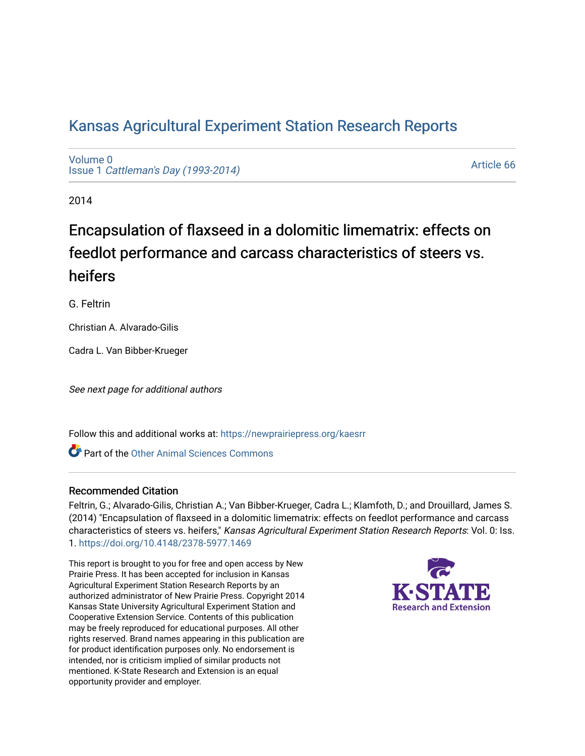## [Kansas Agricultural Experiment Station Research Reports](https://newprairiepress.org/kaesrr)

[Volume 0](https://newprairiepress.org/kaesrr/vol0) Issue 1 [Cattleman's Day \(1993-2014\)](https://newprairiepress.org/kaesrr/vol0/iss1) 

[Article 66](https://newprairiepress.org/kaesrr/vol0/iss1/66) 

2014

## Encapsulation of flaxseed in a dolomitic limematrix: effects on feedlot performance and carcass characteristics of steers vs. heifers

G. Feltrin

Christian A. Alvarado-Gilis

Cadra L. Van Bibber-Krueger

See next page for additional authors

Follow this and additional works at: [https://newprairiepress.org/kaesrr](https://newprairiepress.org/kaesrr?utm_source=newprairiepress.org%2Fkaesrr%2Fvol0%2Fiss1%2F66&utm_medium=PDF&utm_campaign=PDFCoverPages) 

Part of the [Other Animal Sciences Commons](http://network.bepress.com/hgg/discipline/82?utm_source=newprairiepress.org%2Fkaesrr%2Fvol0%2Fiss1%2F66&utm_medium=PDF&utm_campaign=PDFCoverPages)

#### Recommended Citation

Feltrin, G.; Alvarado-Gilis, Christian A.; Van Bibber-Krueger, Cadra L.; Klamfoth, D.; and Drouillard, James S. (2014) "Encapsulation of flaxseed in a dolomitic limematrix: effects on feedlot performance and carcass characteristics of steers vs. heifers," Kansas Agricultural Experiment Station Research Reports: Vol. 0: Iss. 1. <https://doi.org/10.4148/2378-5977.1469>

This report is brought to you for free and open access by New Prairie Press. It has been accepted for inclusion in Kansas Agricultural Experiment Station Research Reports by an authorized administrator of New Prairie Press. Copyright 2014 Kansas State University Agricultural Experiment Station and Cooperative Extension Service. Contents of this publication may be freely reproduced for educational purposes. All other rights reserved. Brand names appearing in this publication are for product identification purposes only. No endorsement is intended, nor is criticism implied of similar products not mentioned. K-State Research and Extension is an equal opportunity provider and employer.

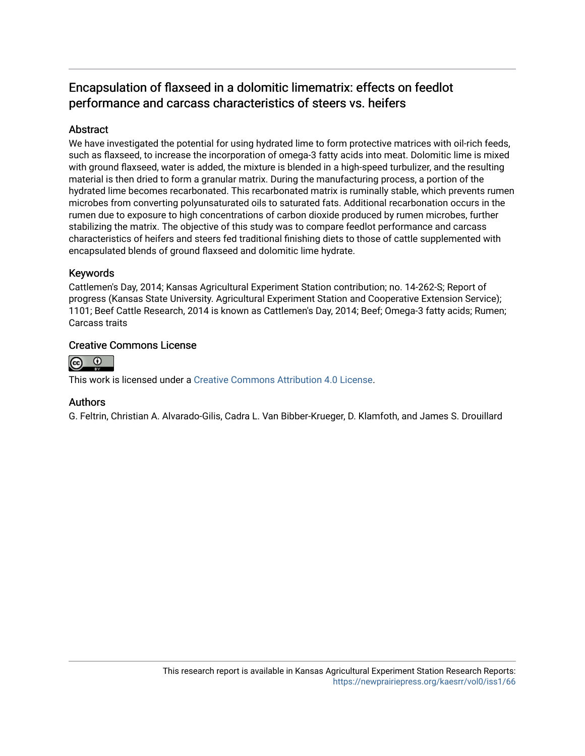## Encapsulation of flaxseed in a dolomitic limematrix: effects on feedlot performance and carcass characteristics of steers vs. heifers

### Abstract

We have investigated the potential for using hydrated lime to form protective matrices with oil-rich feeds, such as flaxseed, to increase the incorporation of omega-3 fatty acids into meat. Dolomitic lime is mixed with ground flaxseed, water is added, the mixture is blended in a high-speed turbulizer, and the resulting material is then dried to form a granular matrix. During the manufacturing process, a portion of the hydrated lime becomes recarbonated. This recarbonated matrix is ruminally stable, which prevents rumen microbes from converting polyunsaturated oils to saturated fats. Additional recarbonation occurs in the rumen due to exposure to high concentrations of carbon dioxide produced by rumen microbes, further stabilizing the matrix. The objective of this study was to compare feedlot performance and carcass characteristics of heifers and steers fed traditional finishing diets to those of cattle supplemented with encapsulated blends of ground flaxseed and dolomitic lime hydrate.

### Keywords

Cattlemen's Day, 2014; Kansas Agricultural Experiment Station contribution; no. 14-262-S; Report of progress (Kansas State University. Agricultural Experiment Station and Cooperative Extension Service); 1101; Beef Cattle Research, 2014 is known as Cattlemen's Day, 2014; Beef; Omega-3 fatty acids; Rumen; Carcass traits

#### Creative Commons License



This work is licensed under a [Creative Commons Attribution 4.0 License](https://creativecommons.org/licenses/by/4.0/).

#### Authors

G. Feltrin, Christian A. Alvarado-Gilis, Cadra L. Van Bibber-Krueger, D. Klamfoth, and James S. Drouillard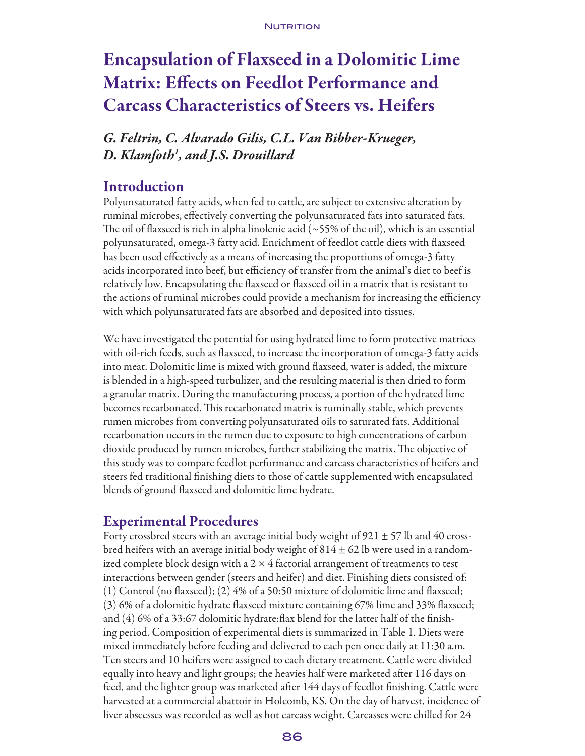# Encapsulation of Flaxseed in a Dolomitic Lime Matrix: Effects on Feedlot Performance and Carcass Characteristics of Steers vs. Heifers

*G. Feltrin, C. Alvarado Gilis, C.L. Van Bibber-Krueger, D. Klamfoth1 , and J.S. Drouillard*

## **Introduction**

Polyunsaturated fatty acids, when fed to cattle, are subject to extensive alteration by ruminal microbes, effectively converting the polyunsaturated fats into saturated fats. The oil of flaxseed is rich in alpha linolenic acid ( $\sim$ 55% of the oil), which is an essential polyunsaturated, omega-3 fatty acid. Enrichment of feedlot cattle diets with flaxseed has been used effectively as a means of increasing the proportions of omega-3 fatty acids incorporated into beef, but efficiency of transfer from the animal's diet to beef is relatively low. Encapsulating the flaxseed or flaxseed oil in a matrix that is resistant to the actions of ruminal microbes could provide a mechanism for increasing the efficiency with which polyunsaturated fats are absorbed and deposited into tissues.

We have investigated the potential for using hydrated lime to form protective matrices with oil-rich feeds, such as flaxseed, to increase the incorporation of omega-3 fatty acids into meat. Dolomitic lime is mixed with ground flaxseed, water is added, the mixture is blended in a high-speed turbulizer, and the resulting material is then dried to form a granular matrix. During the manufacturing process, a portion of the hydrated lime becomes recarbonated. This recarbonated matrix is ruminally stable, which prevents rumen microbes from converting polyunsaturated oils to saturated fats. Additional recarbonation occurs in the rumen due to exposure to high concentrations of carbon dioxide produced by rumen microbes, further stabilizing the matrix. The objective of this study was to compare feedlot performance and carcass characteristics of heifers and steers fed traditional finishing diets to those of cattle supplemented with encapsulated blends of ground flaxseed and dolomitic lime hydrate.

## Experimental Procedures

Forty crossbred steers with an average initial body weight of  $921 \pm 57$  lb and 40 crossbred heifers with an average initial body weight of  $814 \pm 62$  lb were used in a randomized complete block design with a  $2 \times 4$  factorial arrangement of treatments to test interactions between gender (steers and heifer) and diet. Finishing diets consisted of: (1) Control (no flaxseed); (2) 4% of a 50:50 mixture of dolomitic lime and flaxseed; (3) 6% of a dolomitic hydrate flaxseed mixture containing 67% lime and 33% flaxseed; and (4) 6% of a 33:67 dolomitic hydrate:flax blend for the latter half of the finishing period. Composition of experimental diets is summarized in Table 1. Diets were mixed immediately before feeding and delivered to each pen once daily at 11:30 a.m. Ten steers and 10 heifers were assigned to each dietary treatment. Cattle were divided equally into heavy and light groups; the heavies half were marketed after 116 days on feed, and the lighter group was marketed after 144 days of feedlot finishing. Cattle were harvested at a commercial abattoir in Holcomb, KS. On the day of harvest, incidence of liver abscesses was recorded as well as hot carcass weight. Carcasses were chilled for 24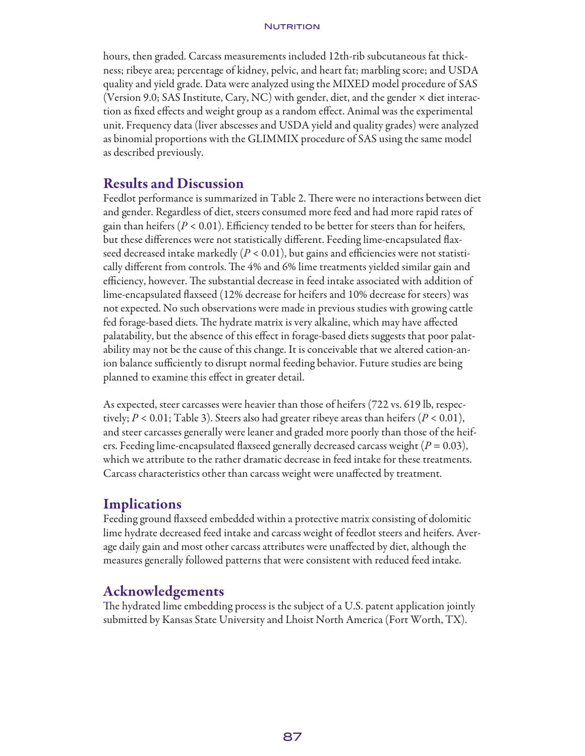#### NUTRITION

hours, then graded. Carcass measurements included 12th-rib subcutaneous fat thickness; ribeye area; percentage of kidney, pelvic, and heart fat; marbling score; and USDA quality and yield grade. Data were analyzed using the MIXED model procedure of SAS (Version 9.0; SAS Institute, Cary, NC) with gender, diet, and the gender × diet interaction as fixed effects and weight group as a random effect. Animal was the experimental unit. Frequency data (liver abscesses and USDA yield and quality grades) were analyzed as binomial proportions with the GLIMMIX procedure of SAS using the same model as described previously.

## Results and Discussion

Feedlot performance is summarized in Table 2. There were no interactions between diet and gender. Regardless of diet, steers consumed more feed and had more rapid rates of gain than heifers ( $P < 0.01$ ). Efficiency tended to be better for steers than for heifers, but these differences were not statistically different. Feeding lime-encapsulated flaxseed decreased intake markedly ( $P < 0.01$ ), but gains and efficiencies were not statistically different from controls. The 4% and 6% lime treatments yielded similar gain and efficiency, however. The substantial decrease in feed intake associated with addition of lime-encapsulated flaxseed (12% decrease for heifers and 10% decrease for steers) was not expected. No such observations were made in previous studies with growing cattle fed forage-based diets. The hydrate matrix is very alkaline, which may have affected palatability, but the absence of this effect in forage-based diets suggests that poor palatability may not be the cause of this change. It is conceivable that we altered cation-anion balance sufficiently to disrupt normal feeding behavior. Future studies are being planned to examine this effect in greater detail.

As expected, steer carcasses were heavier than those of heifers (722 vs. 619 lb, respectively;  $P < 0.01$ ; Table 3). Steers also had greater ribeye areas than heifers  $(P < 0.01)$ , and steer carcasses generally were leaner and graded more poorly than those of the heifers. Feeding lime-encapsulated flaxseed generally decreased carcass weight ( $P = 0.03$ ), which we attribute to the rather dramatic decrease in feed intake for these treatments. Carcass characteristics other than carcass weight were unaffected by treatment.

## **Implications**

Feeding ground flaxseed embedded within a protective matrix consisting of dolomitic lime hydrate decreased feed intake and carcass weight of feedlot steers and heifers. Average daily gain and most other carcass attributes were unaffected by diet, although the measures generally followed patterns that were consistent with reduced feed intake.

## Acknowledgements

The hydrated lime embedding process is the subject of a U.S. patent application jointly submitted by Kansas State University and Lhoist North America (Fort Worth, TX).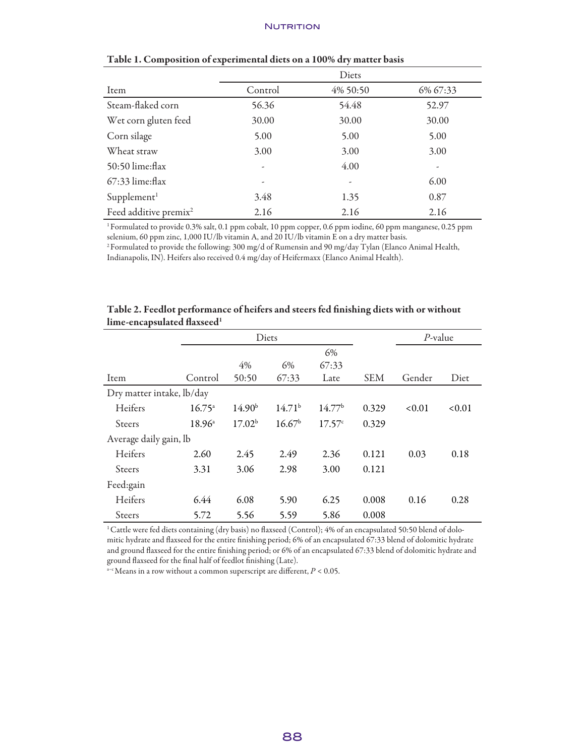#### **NUTRITION**

|                                   | Diets   |          |                          |  |  |
|-----------------------------------|---------|----------|--------------------------|--|--|
| Item                              | Control | 4% 50:50 | 6% 67:33                 |  |  |
| Steam-flaked corn                 | 56.36   | 54.48    | 52.97                    |  |  |
| Wet corn gluten feed              | 30.00   | 30.00    | 30.00                    |  |  |
| Corn silage                       | 5.00    | 5.00     | 5.00                     |  |  |
| Wheat straw                       | 3.00    | 3.00     | 3.00                     |  |  |
| 50:50 lime:flax                   | ۰       | 4.00     | $\overline{\phantom{a}}$ |  |  |
| $67:33$ lime: flax                |         | ۰        | 6.00                     |  |  |
| Supplement <sup>1</sup>           | 3.48    | 1.35     | 0.87                     |  |  |
| Feed additive premix <sup>2</sup> | 2.16    | 2.16     | 2.16                     |  |  |

#### Table 1. Composition of experimental diets on a 100% dry matter basis

1 Formulated to provide 0.3% salt, 0.1 ppm cobalt, 10 ppm copper, 0.6 ppm iodine, 60 ppm manganese, 0.25 ppm selenium, 60 ppm zinc, 1,000 IU/lb vitamin A, and 20 IU/lb vitamin E on a dry matter basis.

2 Formulated to provide the following: 300 mg/d of Rumensin and 90 mg/day Tylan (Elanco Animal Health, Indianapolis, IN). Heifers also received 0.4 mg/day of Heifermaxx (Elanco Animal Health).

|                           | Diets           |                    |                    |                    | $P$ -value |        |        |
|---------------------------|-----------------|--------------------|--------------------|--------------------|------------|--------|--------|
|                           |                 |                    |                    | 6%                 |            |        |        |
|                           |                 | 4%                 | 6%                 | 67:33              |            |        |        |
| Item                      | Control         | 50:50              | 67:33              | Late               | <b>SEM</b> | Gender | Diet   |
| Dry matter intake, lb/day |                 |                    |                    |                    |            |        |        |
| Heifers                   | $16.75^{\circ}$ | 14.90 <sup>b</sup> | 14.71 <sup>b</sup> | 14.77 <sup>b</sup> | 0.329      | < 0.01 | < 0.01 |
| <b>Steers</b>             | $18.96^{\circ}$ | 17.02 <sup>b</sup> | 16.67 <sup>b</sup> | 17.57c             | 0.329      |        |        |
| Average daily gain, lb    |                 |                    |                    |                    |            |        |        |
| Heifers                   | 2.60            | 2.45               | 2.49               | 2.36               | 0.121      | 0.03   | 0.18   |
| <b>Steers</b>             | 3.31            | 3.06               | 2.98               | 3.00               | 0.121      |        |        |
| Feed:gain                 |                 |                    |                    |                    |            |        |        |
| Heifers                   | 6.44            | 6.08               | 5.90               | 6.25               | 0.008      | 0.16   | 0.28   |
| Steers                    | 5.72            | 5.56               | 5.59               | 5.86               | 0.008      |        |        |

| Table 2. Feedlot performance of heifers and steers fed finishing diets with or without |  |  |
|----------------------------------------------------------------------------------------|--|--|
| lime-encapsulated flaxseed <sup>1</sup>                                                |  |  |

1 Cattle were fed diets containing (dry basis) no flaxseed (Control); 4% of an encapsulated 50:50 blend of dolomitic hydrate and flaxseed for the entire finishing period; 6% of an encapsulated 67:33 blend of dolomitic hydrate and ground flaxseed for the entire finishing period; or 6% of an encapsulated 67:33 blend of dolomitic hydrate and ground flaxseed for the final half of feedlot finishing (Late).

 $a-c$  Means in a row without a common superscript are different,  $P < 0.05$ .